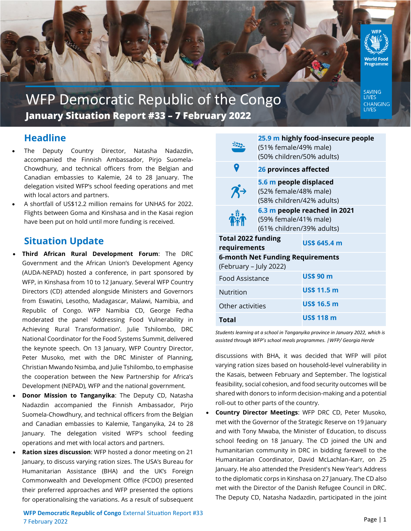

WFP Democratic Republic of the Congo **January Situation Report #33 – 7 February 2022**

SAVING **LIVES** CHANGING **LIVES** 

# **Headline**

- The Deputy Country Director, Natasha Nadazdin, accompanied the Finnish Ambassador, Pirjo Suomela-Chowdhury, and technical officers from the Belgian and Canadian embassies to Kalemie, 24 to 28 January. The delegation visited WFP's school feeding operations and met with local actors and partners.
- A shortfall of US\$12.2 million remains for UNHAS for 2022. Flights between Goma and Kinshasa and in the Kasai region have been put on hold until more funding is received.

## **Situation Update**

- **Third African Rural Development Forum**: The DRC Government and the African Union's Development Agency (AUDA-NEPAD) hosted a conference, in part sponsored by WFP, in Kinshasa from 10 to 12 January. Several WFP Country Directors (CD) attended alongside Ministers and Governors from Eswatini, Lesotho, Madagascar, Malawi, Namibia, and Republic of Congo. WFP Namibia CD, George Fedha moderated the panel 'Addressing Food Vulnerability in Achieving Rural Transformation'. Julie Tshilombo, DRC National Coordinator for the Food Systems Summit, delivered the keynote speech. On 13 January, WFP Country Director, Peter Musoko, met with the DRC Minister of Planning, Christian Mwando Nsimba, and Julie Tshilombo, to emphasise the cooperation between the New Partnership for Africa's Development (NEPAD), WFP and the national government.
- **Donor Mission to Tanganyika**: The Deputy CD, Natasha Nadazdin accompanied the Finnish Ambassador, Pirjo Suomela-Chowdhury, and technical officers from the Belgian and Canadian embassies to Kalemie, Tanganyika, 24 to 28 January. The delegation visited WFP's school feeding operations and met with local actors and partners.
- **Ration sizes discussion**: WFP hosted a donor meeting on 21 January, to discuss varying ration sizes. The USA's Bureau for Humanitarian Assistance (BHA) and the UK's Foreign Commonwealth and Development Office (FCDO) presented their preferred approaches and WFP presented the options for operationalising the variations. As a result of subsequent

|                                                            | 25.9 m highly food-insecure people<br>(51% female/49% male)<br>(50% children/50% adults) |                     |
|------------------------------------------------------------|------------------------------------------------------------------------------------------|---------------------|
| 9                                                          | 26 provinces affected                                                                    |                     |
|                                                            | 5.6 m people displaced<br>(52% female/48% male)<br>(58% children/42% adults)             |                     |
|                                                            | 6.3 m people reached in 2021<br>(59% female/41% male)<br>(61% children/39% adults)       |                     |
| <b>Total 2022 funding</b><br>requirements                  |                                                                                          | <b>US\$ 645.4 m</b> |
| 6-month Net Funding Requirements<br>(February – July 2022) |                                                                                          |                     |
| Food Assistance                                            |                                                                                          | US\$ 90 m           |
| Nutrition                                                  |                                                                                          | <b>US\$ 11.5 m</b>  |
| Other activities                                           |                                                                                          | <b>US\$ 16.5 m</b>  |
| Total                                                      |                                                                                          | <b>US\$ 118 m</b>   |

*Students learning at a school in Tanganyika province in January 2022, which is assisted through WFP's school meals programmes. |WFP/ Georgia Herde*

discussions with BHA, it was decided that WFP will pilot varying ration sizes based on household-level vulnerability in the Kasais, between February and September. The logistical feasibility, social cohesion, and food security outcomes will be shared with donors to inform decision-making and a potential roll-out to other parts of the country.

• **Country Director Meetings**: WFP DRC CD, Peter Musoko, met with the Governor of the Strategic Reserve on 19 January and with Tony Mwaba, the Minister of Education, to discuss school feeding on 18 January. The CD joined the UN and humanitarian community in DRC in bidding farewell to the Humanitarian Coordinator, David McLachlan-Karr, on 25 January. He also attended the President's New Year's Address to the diplomatic corps in Kinshasa on 27 January. The CD also met with the Director of the Danish Refugee Council in DRC. The Deputy CD, Natasha Nadazdin, participated in the joint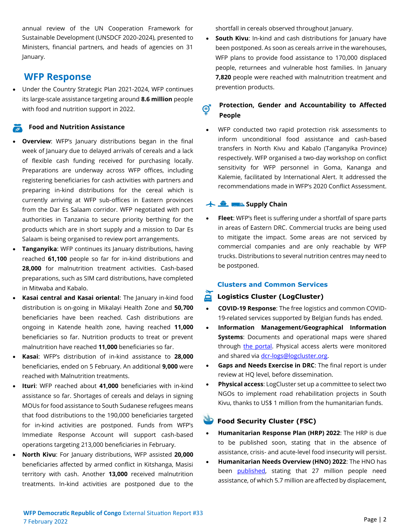annual review of the UN Cooperation Framework for Sustainable Development (UNSDCF 2020-2024), presented to Ministers, financial partners, and heads of agencies on 31 January.

## **WFP Response**

• Under the Country Strategic Plan 2021-2024, WFP continues its large-scale assistance targeting around **8.6 million** people with food and nutrition support in 2022.

#### **Food and Nutrition Assistance**

- **Overview**: WFP's January distributions began in the final week of January due to delayed arrivals of cereals and a lack of flexible cash funding received for purchasing locally. Preparations are underway across WFP offices, including registering beneficiaries for cash activities with partners and preparing in-kind distributions for the cereal which is currently arriving at WFP sub-offices in Eastern provinces from the Dar Es Salaam corridor. WFP negotiated with port authorities in Tanzania to secure priority berthing for the products which are in short supply and a mission to Dar Es Salaam is being organised to review port arrangements.
- **Tanganyika:** WFP continues its January distributions, having reached **61,100** people so far for in-kind distributions and **28,000** for malnutrition treatment activities. Cash-based preparations, such as SIM card distributions, have completed in Mitwaba and Kabalo.
- **Kasai central and Kasai oriental**: The January in-kind food distribution is on-going in Mikalayi Health Zone and **50,700** beneficiaries have been reached. Cash distributions are ongoing in Katende health zone, having reached **11,000** beneficiaries so far. Nutrition products to treat or prevent malnutrition have reached **11,000** beneficiaries so far.
- **Kasai**: WFP's distribution of in-kind assistance to **28,000** beneficiaries, ended on 5 February. An additional **9,000** were reached with Malnutrition treatments.
- **Ituri**: WFP reached about **41,000** beneficiaries with in-kind assistance so far. Shortages of cereals and delays in signing MOUs for food assistance to South Sudanese refugees means that food distributions to the 190,000 beneficiaries targeted for in-kind activities are postponed. Funds from WFP's Immediate Response Account will support cash-based operations targeting 213,000 beneficiaries in February.
- **North Kivu**: For January distributions, WFP assisted **20,000** beneficiaries affected by armed conflict in Kitshanga, Masisi territory with cash. Another **13,000** received malnutrition treatments. In-kind activities are postponed due to the

shortfall in cereals observed throughout January.

• **South Kivu**: In-kind and cash distributions for January have been postponed. As soon as cereals arrive in the warehouses, WFP plans to provide food assistance to 170,000 displaced people, returnees and vulnerable host families. In January **7,820** people were reached with malnutrition treatment and prevention products.

#### **Protection, Gender and Accountability to Affected**  ඦ **People**

WFP conducted two rapid protection risk assessments to inform unconditional food assistance and cash-based transfers in North Kivu and Kabalo (Tanganyika Province) respectively. WFP organised a two-day workshop on conflict sensitivity for WFP personnel in Goma, Kananga and Kalemie, facilitated by International Alert. It addressed the recommendations made in WFP's 2020 Conflict Assessment.

#### **Supply Chain**

• **Fleet**: WFP's fleet is suffering under a shortfall of spare parts in areas of Eastern DRC. Commercial trucks are being used to mitigate the impact. Some areas are not serviced by commercial companies and are only reachable by WFP trucks. Distributions to several nutrition centres may need to be postponed.

#### **Clusters and Common Services**

### **Logistics Cluster (LogCluster)**

- **COVID-19 Response**: The free logistics and common COVID-19-related services supported by Belgian funds has ended.
- **Information Management/Geographical Information Systems**: Documents and operational maps were shared through [the portal.](https://logcluster.org/ops/drc) Physical access alerts were monitored and shared via [dcr-logs@logcluster.org.](mailto:dcr-logs@logcluster.org)
- **Gaps and Needs Exercise in DRC**: The final report is under review at HQ level, before dissemination.
- **Physical access**: LogCluster set up a committee to select two NGOs to implement road rehabilitation projects in South Kivu, thanks to US\$ 1 million from the humanitarian funds.

### **Food Security Cluster (FSC)**

- **Humanitarian Response Plan (HRP) 2022**: The HRP is due to be published soon, stating that in the absence of assistance, crisis- and acute-level food insecurity will persist.
- **Humanitarian Needs Overview (HNO) 2022**: The HNO has been [published,](https://www.humanitarianresponse.info/sites/www.humanitarianresponse.info/files/documents/files/hno_2022_drc_20211224vf.pdf) stating that 27 million people need assistance, of which 5.7 million are affected by displacement,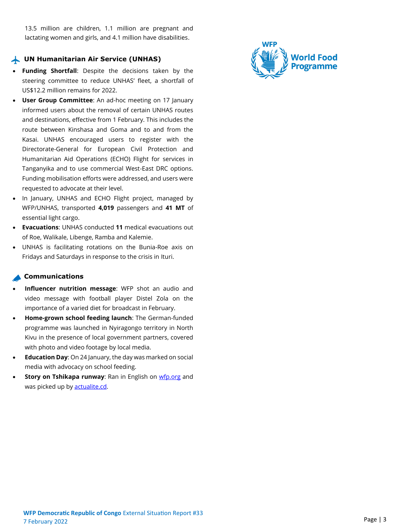13.5 million are children, 1.1 million are pregnant and lactating women and girls, and 4.1 million have disabilities.

#### **UN Humanitarian Air Service (UNHAS)**

- **Funding Shortfall**: Despite the decisions taken by the steering committee to reduce UNHAS' fleet, a shortfall of US\$12.2 million remains for 2022.
- **User Group Committee**: An ad-hoc meeting on 17 January informed users about the removal of certain UNHAS routes and destinations, effective from 1 February. This includes the route between Kinshasa and Goma and to and from the Kasai. UNHAS encouraged users to register with the Directorate-General for European Civil Protection and Humanitarian Aid Operations (ECHO) Flight for services in Tanganyika and to use commercial West-East DRC options. Funding mobilisation efforts were addressed, and users were requested to advocate at their level.
- In January, UNHAS and ECHO Flight project, managed by WFP/UNHAS, transported **4,019** passengers and **41 MT** of essential light cargo.
- **Evacuations**: UNHAS conducted **11** medical evacuations out of Roe, Walikale, Libenge, Ramba and Kalemie.
- UNHAS is facilitating rotations on the Bunia-Roe axis on Fridays and Saturdays in response to the crisis in Ituri.

#### **Communications**

- **Influencer nutrition message**: WFP shot an audio and video message with football player Distel Zola on the importance of a varied diet for broadcast in February.
- **Home-grown school feeding launch**: The German-funded programme was launched in Nyiragongo territory in North Kivu in the presence of local government partners, covered with photo and video footage by local media.
- **Education Day**: On 24 January, the day was marked on social media with advocacy on school feeding.
- **Story on Tshikapa runway:** Ran in English on [wfp.org](https://www.wfp.org/stories/drc-congo-airstrip-humanitarian-flights-development-economy) and was picked up by **actualite.cd**.